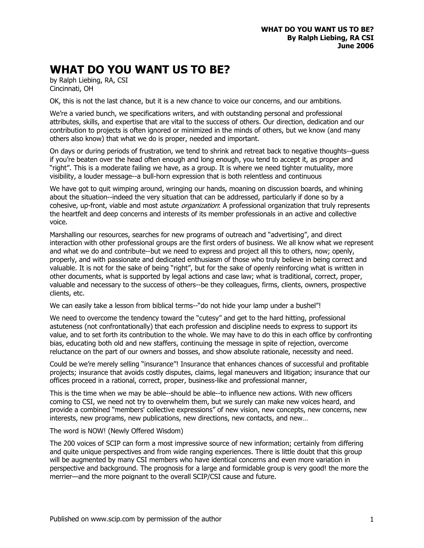## **WHAT DO YOU WANT US TO BE?**

by Ralph Liebing, RA, CSI Cincinnati, OH

OK, this is not the last chance, but it is a new chance to voice our concerns, and our ambitions.

We're a varied bunch, we specifications writers, and with outstanding personal and professional attributes, skills, and expertise that are vital to the success of others. Our direction, dedication and our contribution to projects is often ignored or minimized in the minds of others, but we know (and many others also know) that what we do is proper, needed and important.

On days or during periods of frustration, we tend to shrink and retreat back to negative thoughts--guess if you're beaten over the head often enough and long enough, you tend to accept it, as proper and "right". This is a moderate failing we have, as a group. It is where we need tighter mutuality, more visibility, a louder message--a bull-horn expression that is both relentless and continuous

We have got to quit wimping around, wringing our hands, moaning on discussion boards, and whining about the situation--indeed the very situation that can be addressed, particularly if done so by a cohesive, up-front, viable and most astute *organization*: A professional organization that truly represents the heartfelt and deep concerns and interests of its member professionals in an active and collective voice.

Marshalling our resources, searches for new programs of outreach and "advertising", and direct interaction with other professional groups are the first orders of business. We all know what we represent and what we do and contribute--but we need to express and project all this to others, now; openly, properly, and with passionate and dedicated enthusiasm of those who truly believe in being correct and valuable. It is not for the sake of being "right", but for the sake of openly reinforcing what is written in other documents, what is supported by legal actions and case law; what is traditional, correct, proper, valuable and necessary to the success of others--be they colleagues, firms, clients, owners, prospective clients, etc.

We can easily take a lesson from biblical terms--"do not hide your lamp under a bushel"!

We need to overcome the tendency toward the "cutesy" and get to the hard hitting, professional astuteness (not confrontationally) that each profession and discipline needs to express to support its value, and to set forth its contribution to the whole. We may have to do this in each office by confronting bias, educating both old and new staffers, continuing the message in spite of rejection, overcome reluctance on the part of our owners and bosses, and show absolute rationale, necessity and need.

Could be we're merely selling "insurance"! Insurance that enhances chances of successful and profitable projects; insurance that avoids costly disputes, claims, legal maneuvers and litigation; insurance that our offices proceed in a rational, correct, proper, business-like and professional manner,

This is the time when we may be able--should be able--to influence new actions. With new officers coming to CSI, we need not try to overwhelm them, but we surely can make new voices heard, and provide a combined "members' collective expressions" of new vision, new concepts, new concerns, new interests, new programs, new publications, new directions, new contacts, and new…

## The word is NOW! (Newly Offered Wisdom)

The 200 voices of SCIP can form a most impressive source of new information; certainly from differing and quite unique perspectives and from wide ranging experiences. There is little doubt that this group will be augmented by many CSI members who have identical concerns and even more variation in perspective and background. The prognosis for a large and formidable group is very good! the more the merrier—and the more poignant to the overall SCIP/CSI cause and future.